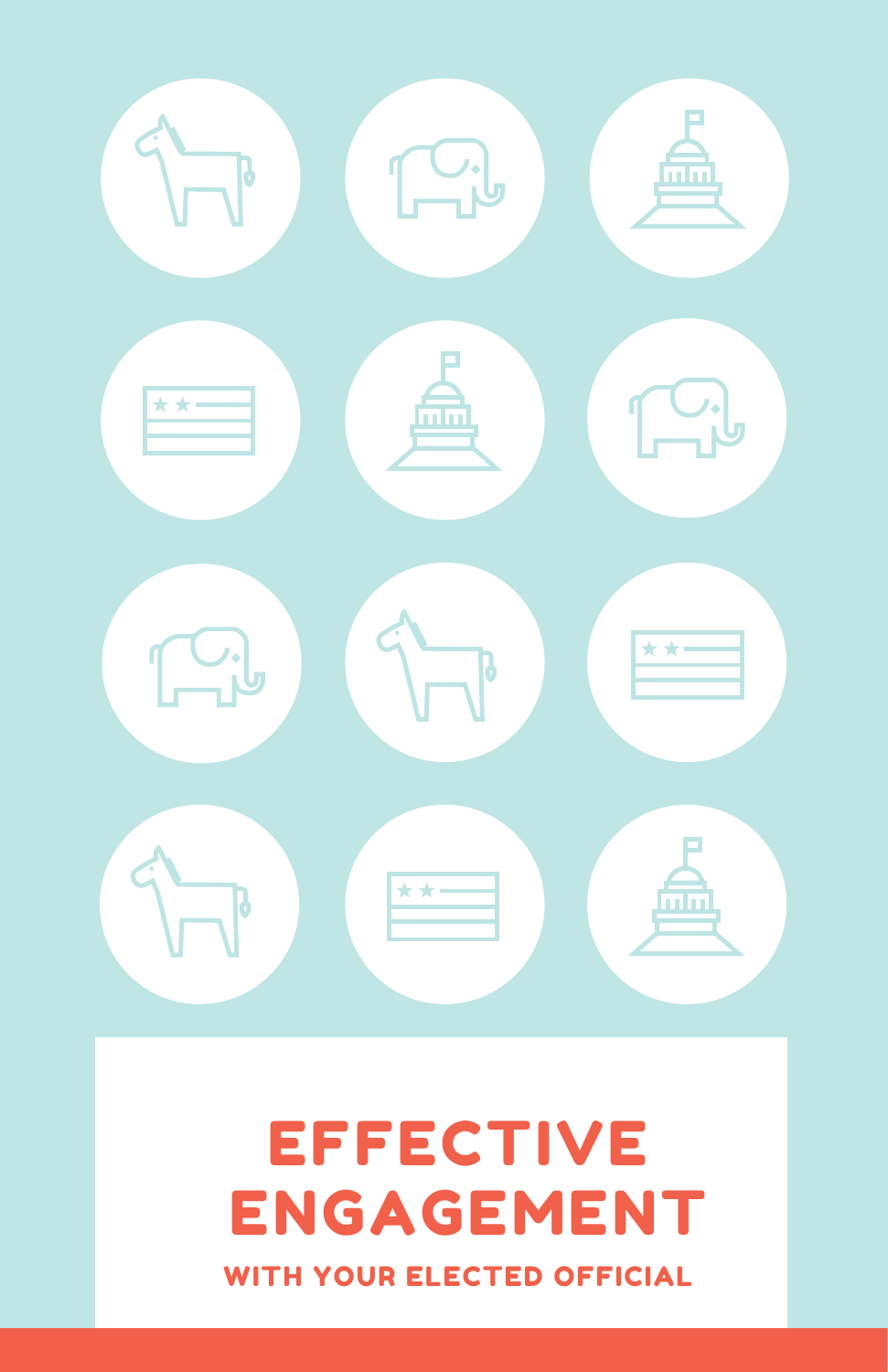

## EFFECTIVE ENGAGEMENT WITH YOUR ELECTED OFFICIAL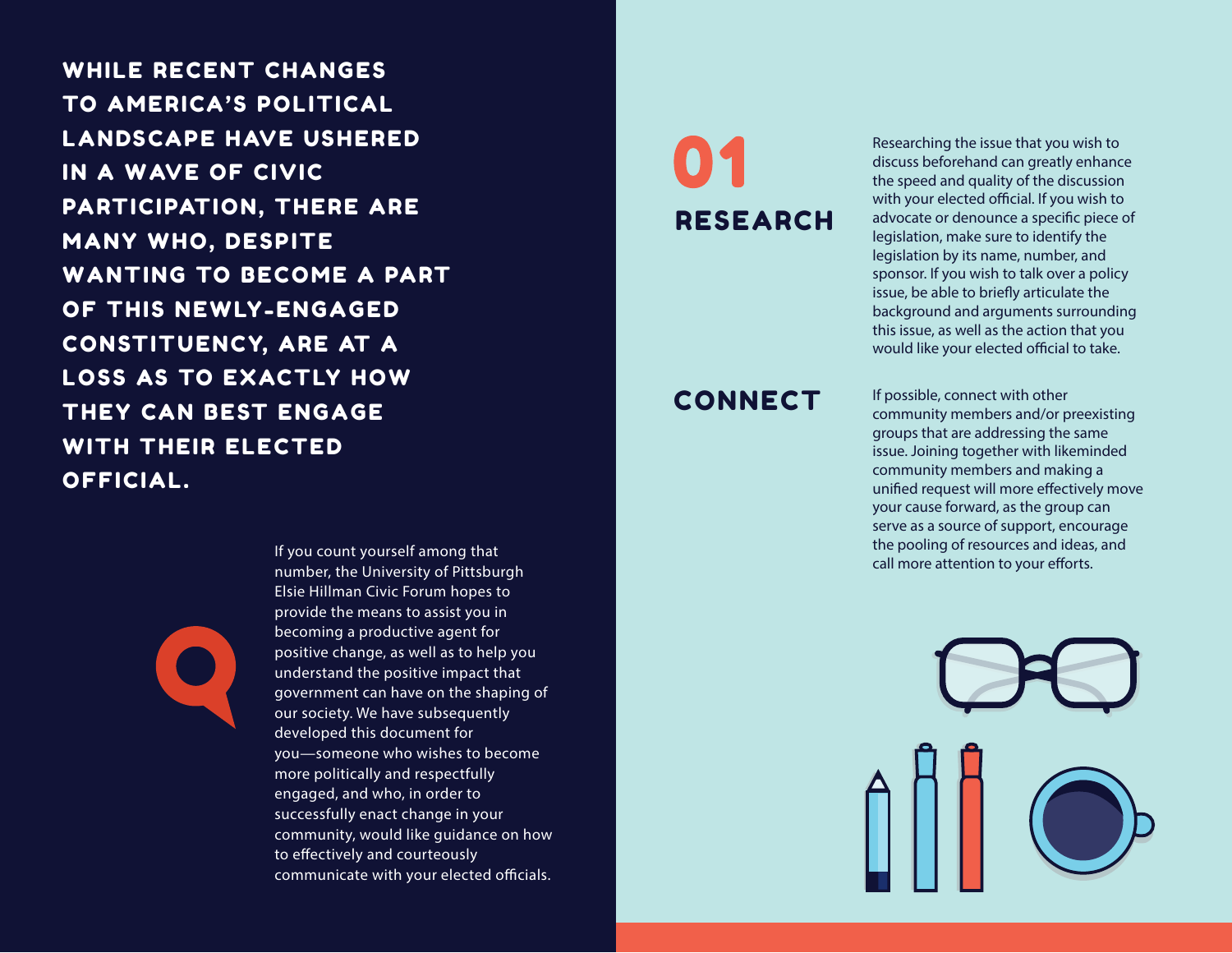WHILE RECENT CHANGES TO AMERICA'S POLITICAL LANDSCAPE HAVE USHERED IN A WAVE OF CIVIC PARTICIPATION, THERE ARE MANY WHO, DESPITE WANTING TO BECOME A PART OF THIS NEWLY-ENGAGED CONSTITUENCY, ARE AT A LOSS AS TO EXACTLY HOW THEY CAN BEST ENGAGE WITH THEIR ELECTED OFFICIAL.

# RESEARCH

#### **CONNECT**

Researching the issue that you wish to discuss beforehand can greatly enhance the speed and quality of the discussion with your elected official. If you wish to advocate or denounce a specific piece of legislation, make sure to identify the legislation by its name, number, and sponsor. If you wish to talk over a policy issue, be able to briefly articulate the background and arguments surrounding this issue, as well as the action that you would like your elected official to take.

If possible, connect with other community members and/or preexisting groups that are addressing the same issue. Joining together with likeminded community members and making a unified request will more effectively move your cause forward, as the group can serve as a source of support, encourage the pooling of resources and ideas, and call more attention to your efforts.



If you count yourself among that number, the University of Pittsburgh Elsie Hillman Civic Forum hopes to provide the means to assist you in becoming a productive agent for positive change, as well as to help you understand the positive impact that government can have on the shaping of our society. We have subsequently developed this document for you—someone who wishes to become more politically and respectfully engaged, and who, in order to successfully enact change in your community, would like guidance on how to effectively and courteously communicate with your elected officials.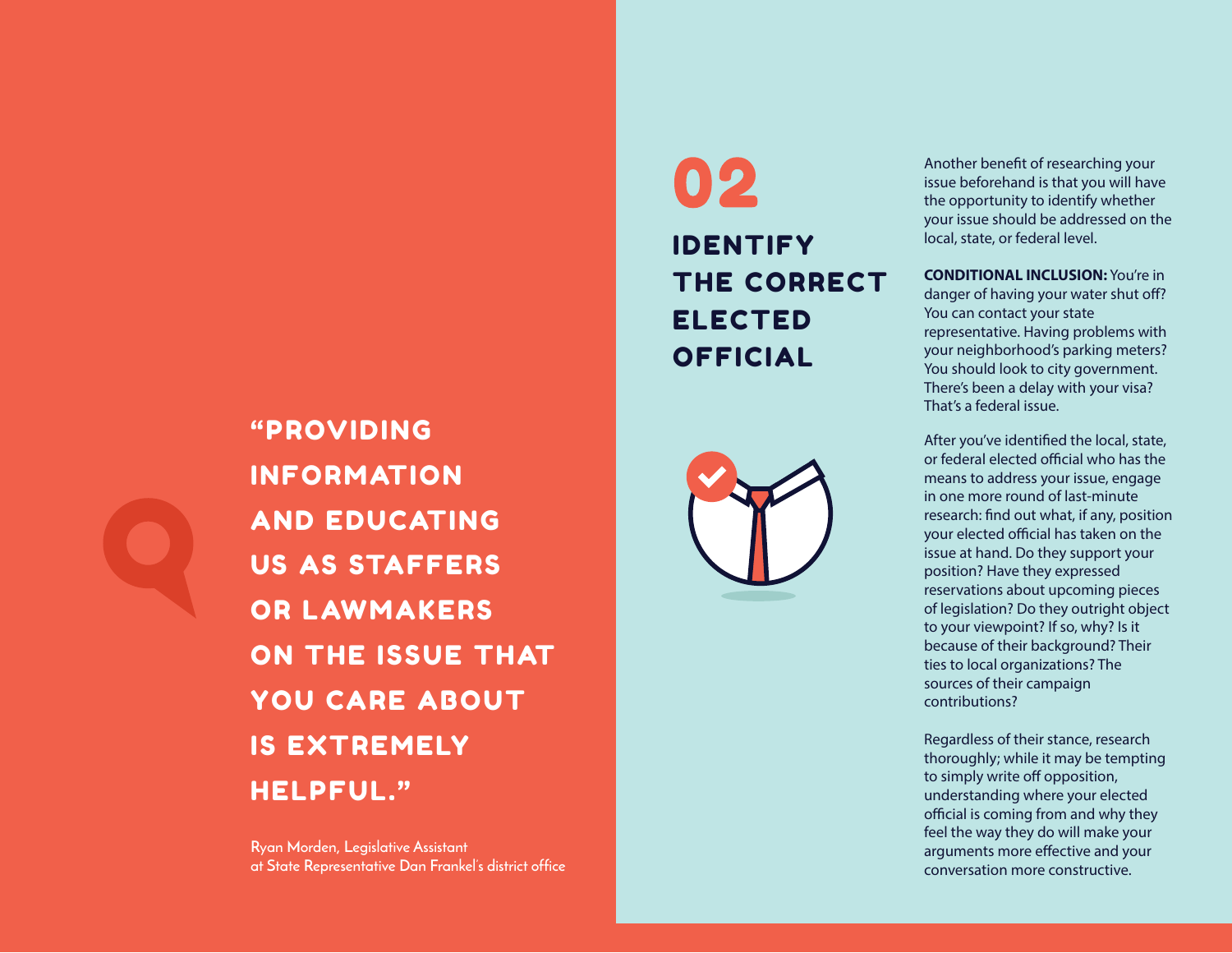

"PROVIDING INFORMATION AND EDUCATING US AS STAFFERS OR LAWMAKERS ON THE ISSUE THAT YOU CARE ABOUT IS EXTREMELY HELPFUL."

**Ryan Morden, Legislative Assistant Ryan Morden, Legislative Assistant at State Representative Dan Frankel's district office at State Representative Dan Frankel's district office**

## 02 IDENTIFY THE CORRECT ELECTED OFFICIAL



Another benefit of researching your issue beforehand is that you will have the opportunity to identify whether your issue should be addressed on the local, state, or federal level.

**CONDITIONAL INCLUSION:** You're in danger of having your water shut off? You can contact your state representative. Having problems with your neighborhood's parking meters? You should look to city government. There's been a delay with your visa? That's a federal issue.

After you've identified the local, state, or federal elected official who has the means to address your issue, engage in one more round of last-minute research: find out what, if any, position your elected official has taken on the issue at hand. Do they support your position? Have they expressed reservations about upcoming pieces of legislation? Do they outright object to your viewpoint? If so, why? Is it because of their background? Their ties to local organizations? The sources of their campaign contributions?

Regardless of their stance, research thoroughly; while it may be tempting to simply write off opposition, understanding where your elected official is coming from and why they feel the way they do will make your arguments more effective and your conversation more constructive.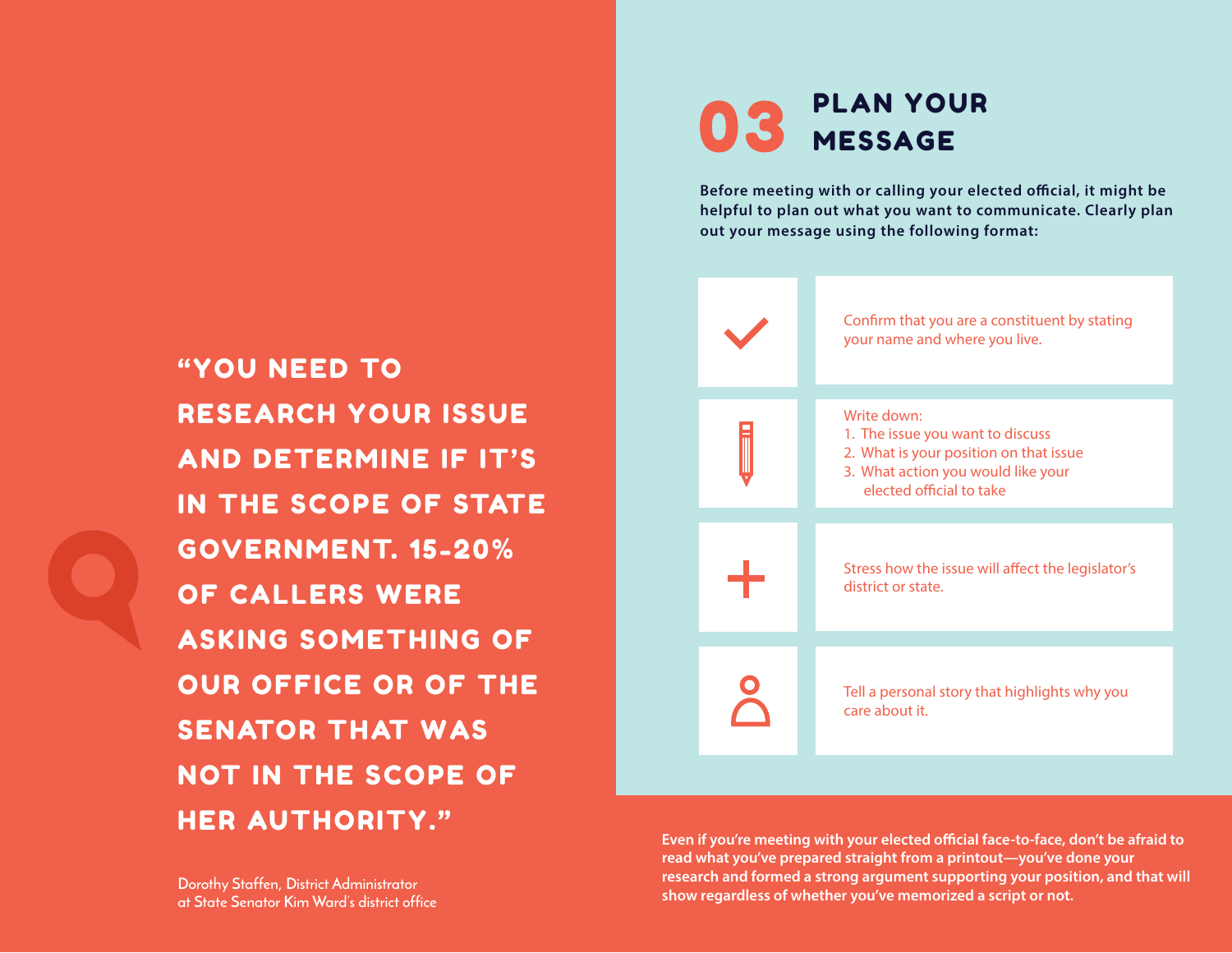## "YOU NEED TO RESEARCH YOUR ISSUE AND DETERMINE IF IT'S IN THE SCOPE OF STATE GOVERNMENT. 15-20% OF CALLERS WERE ASKING SOMETHING OF OUR OFFICE OR OF THE SENATOR THAT WAS NOT IN THE SCOPE OF HER AUTHORITY."

#### PLAN YOUR 03 MESSAGE

Before meeting with or calling your elected official, it might be **helpful to plan out what you want to communicate. Clearly plan out your message using the following format:**



Even if you're meeting with your elected official face-to-face, don't be afraid to **read what you've prepared straight from a printout—you've done your research and formed a strong argument supporting your position, and that will show regardless of whether you've memorized a script or not.** 

**Dorothy Staffen, District Administrator Dorothy Staffen, District Administrator at State Senator Kim Ward's district office at State Senator Kim Ward's district office**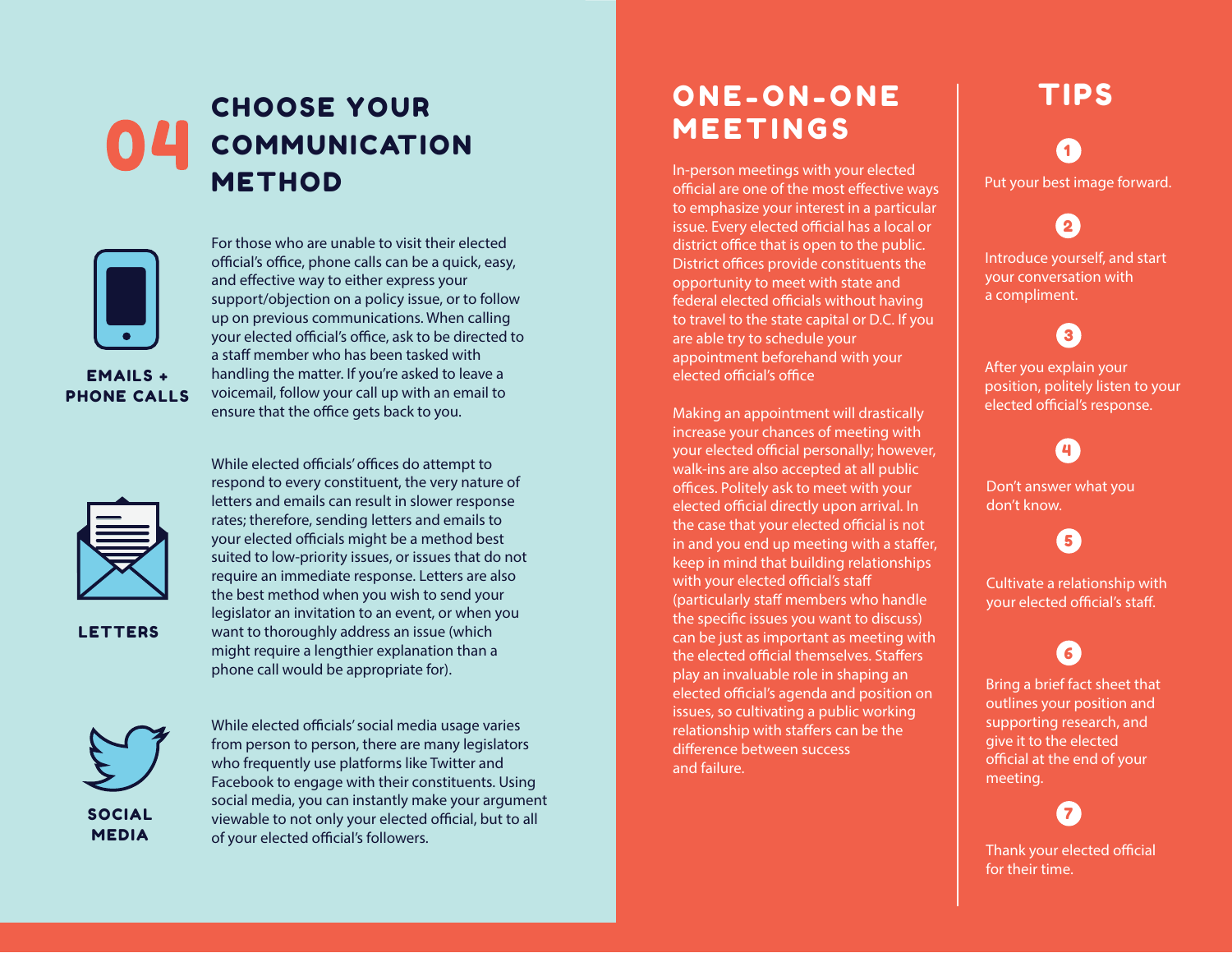### CHOOSE YOUR COMMUNICATION METHOD



For those who are unable to visit their elected official's office, phone calls can be a quick, easy, and effective way to either express your support/objection on a policy issue, or to follow up on previous communications. When calling your elected official's office, ask to be directed to a staff member who has been tasked with handling the matter. If you're asked to leave a voicemail, follow your call up with an email to ensure that the office gets back to you.



LETTERS

your elected officials might be a method best suited to low-priority issues, or issues that do not require an immediate response. Letters are also the best method when you wish to send your legislator an invitation to an event, or when you want to thoroughly address an issue (which might require a lengthier explanation than a

While elected officials' offices do attempt to respond to every constituent, the very nature of letters and emails can result in slower response rates; therefore, sending letters and emails to

SOCIAL MEDIA

phone call would be appropriate for).

#### ONE-ON-ONE MEETINGS

In-person meetings with your elected official are one of the most effective ways to emphasize your interest in a particular issue. Every elected official has a local or district office that is open to the public. District offices provide constituents the opportunity to meet with state and federal elected officials without having to travel to the state capital or D.C. If you are able try to schedule your appointment beforehand with your elected official's office

Making an appointment will drastically increase your chances of meeting with your elected official personally; however, walk-ins are also accepted at all public offices. Politely ask to meet with your elected official directly upon arrival. In the case that your elected official is not in and you end up meeting with a staffer, keep in mind that building relationships with your elected official's staff (particularly staff members who handle the specific issues you want to discuss) can be just as important as meeting with the elected official themselves. Staffers play an invaluable role in shaping an elected official's agenda and position on issues, so cultivating a public working relationship with staffers can be the difference between success and failure.

## TIPS 1

Put your best image forward.

 $\overline{2}$ 

Introduce yourself, and start your conversation with a compliment.

#### 3

After you explain your position, politely listen to your elected official's response.

 $\blacksquare$ 

Don't answer what you don't know.

5

Cultivate a relationship with your elected official's staff.

#### 6

Bring a brief fact sheet that outlines your position and supporting research, and give it to the elected official at the end of your meeting.

Thank your elected official for their time.

7

While elected officials' social media usage varies from person to person, there are many legislators who frequently use platforms like Twitter and Facebook to engage with their constituents. Using social media, you can instantly make your argument viewable to not only your elected official, but to all of your elected official's followers.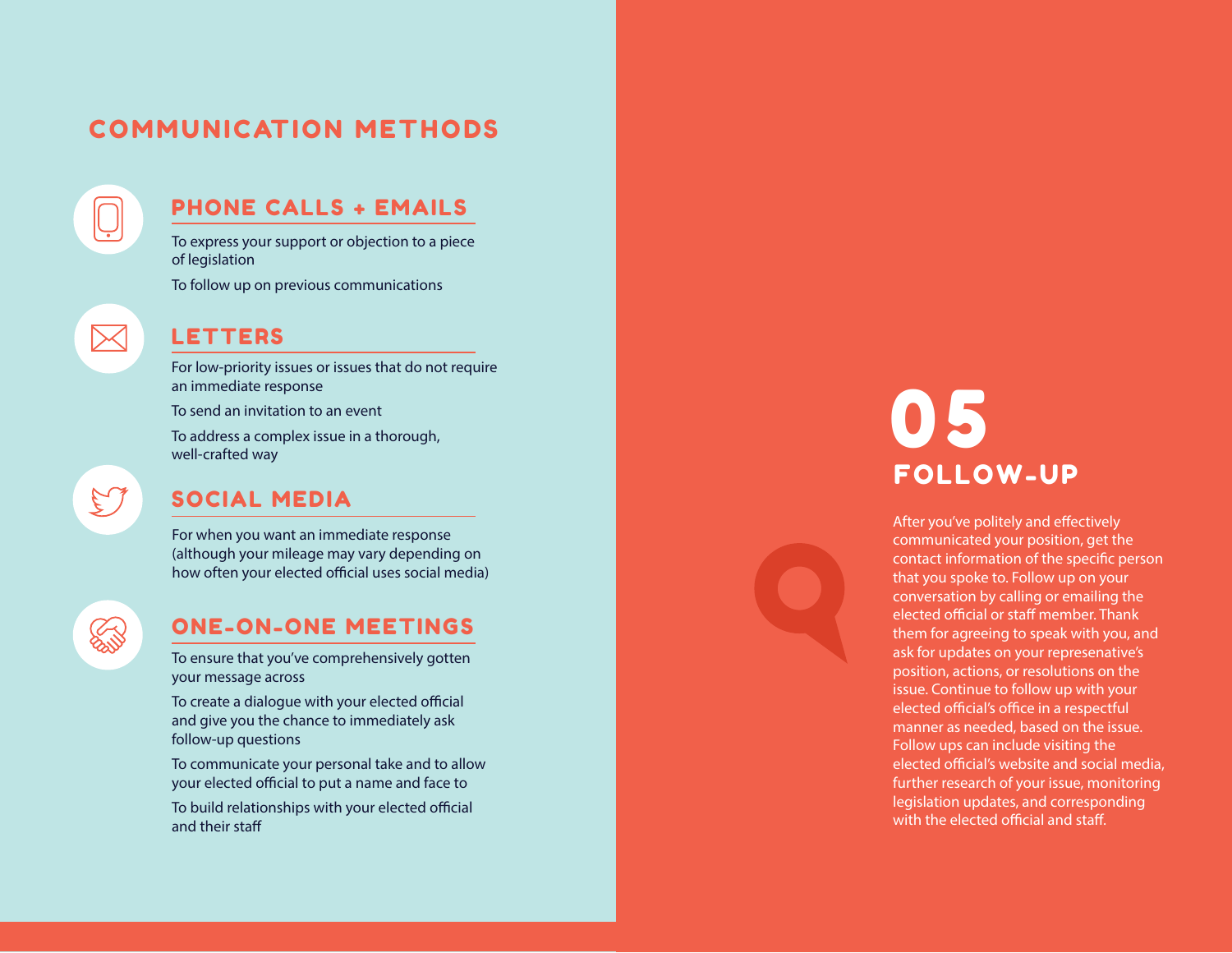#### **COMMUNICATION METHODS**

#### PHONE CALLS + EMAILS

To express your support or objection to a piece of legislation

To follow up on previous communications

## $\boxtimes$

#### LETTERS

For low-priority issues or issues that do not require an immediate response

To send an invitation to an event

To address a complex issue in a thorough, well-crafted way

#### SOCIAL MEDIA

For when you want an immediate response (although your mileage may vary depending on how often your elected official uses social media)

## **Source**

 $\mathfrak{S}% _{T}=\mathfrak{S}_{T}\!\left( a,b\right) ,\ \mathfrak{S}_{T}=C_{T}\!\left( a,b\right) ,\ \mathfrak{S}_{T}=C_{T}\!\left( a,b\right) ,$ 

#### ONE-ON-ONE MEETINGS

To ensure that you've comprehensively gotten your message across

To create a dialogue with your elected official and give you the chance to immediately ask follow-up questions

To communicate your personal take and to allow your elected official to put a name and face to

To build relationships with your elected official and their sta

## 0 5 FOLLOW-UP

After you've politely and effectively communicated your position, get the contact information of the specific person that you spoke to. Follow up on your conversation by calling or emailing the elected official or staff member. Thank them for agreeing to speak with you, and ask for updates on your represenative's position, actions, or resolutions on the issue. Continue to follow up with your elected official's office in a respectful manner as needed, based on the issue. Follow ups can include visiting the elected official's website and social media. further research of your issue, monitoring legislation updates, and corresponding with the elected official and staff.